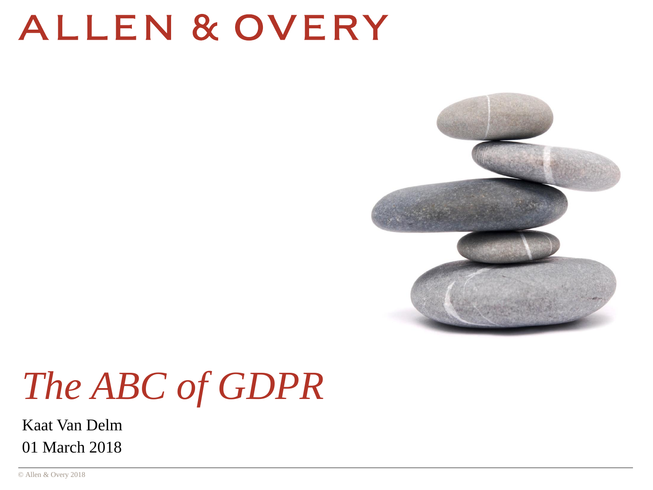# ALLEN & OVERY



# *The ABC of GDPR*

Kaat Van Delm 01 March 2018

© Allen & Overy 2018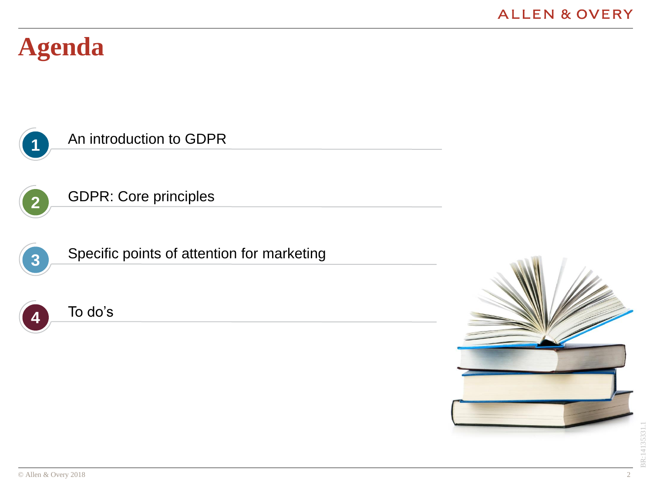#### **Agenda**







#### Specific points of attention for marketing



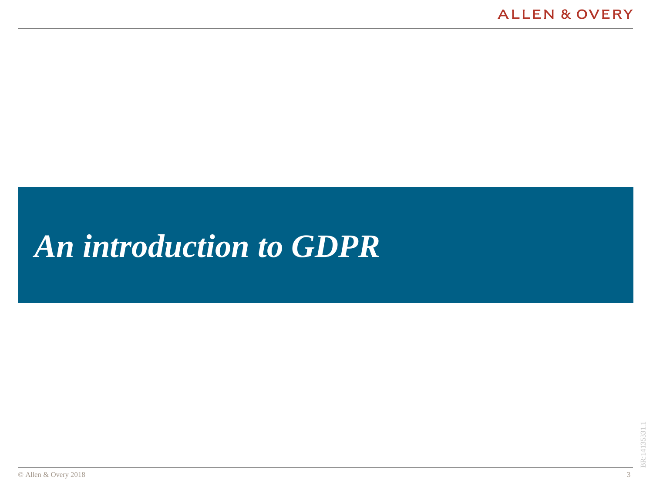# *An introduction to GDPR*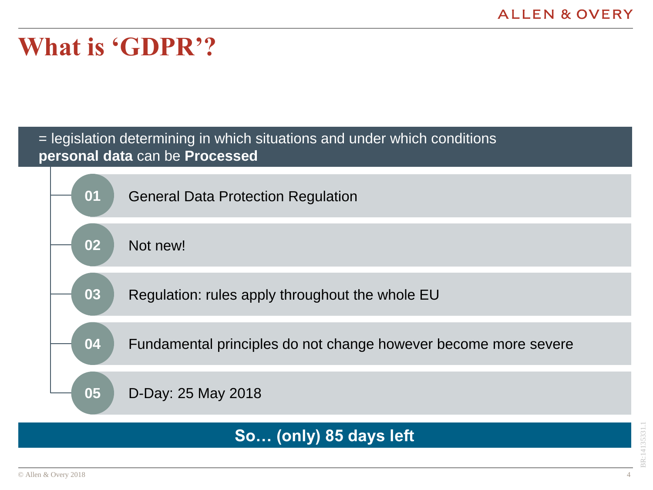### **What is 'GDPR'?**

= legislation determining in which situations and under which conditions **personal data** can be **Processed** 



**So… (only) 85 days left**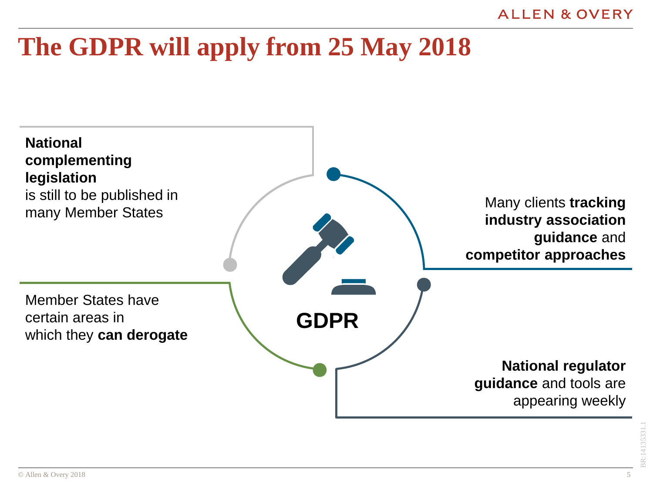#### **ALLEN & OVERY**

### **The GDPR will apply from 25 May 2018**

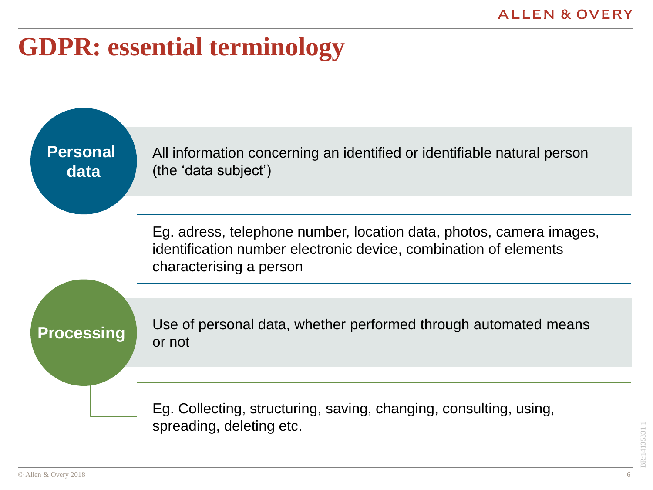#### **GDPR: essential terminology**

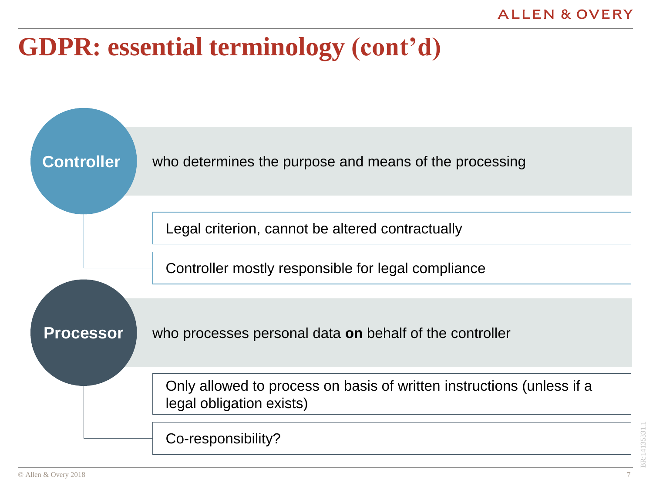### **GDPR: essential terminology (cont'd)**

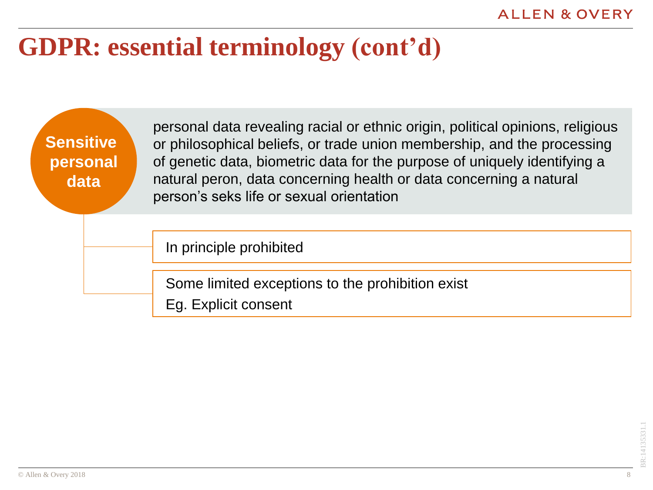### **GDPR: essential terminology (cont'd)**

**Sensitive personal data**

personal data revealing racial or ethnic origin, political opinions, religious or philosophical beliefs, or trade union membership, and the processing of genetic data, biometric data for the purpose of uniquely identifying a natural peron, data concerning health or data concerning a natural person's seks life or sexual orientation

In principle prohibited

Some limited exceptions to the prohibition exist

Eg. Explicit consent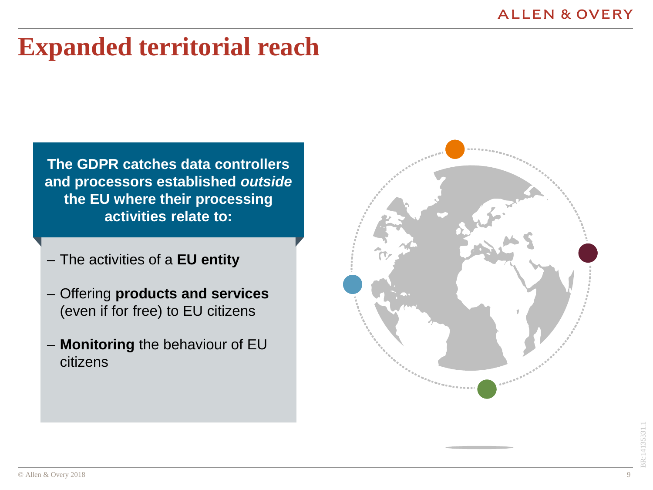### **Expanded territorial reach**

**The GDPR catches data controllers and processors established** *outside* **the EU where their processing activities relate to:**

- The activities of a **EU entity**
- Offering **products and services** (even if for free) to EU citizens
- **Monitoring** the behaviour of EU citizens

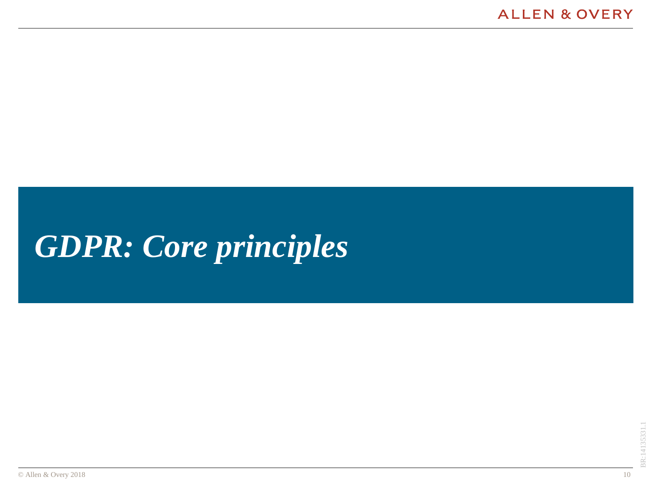# *GDPR: Core principles*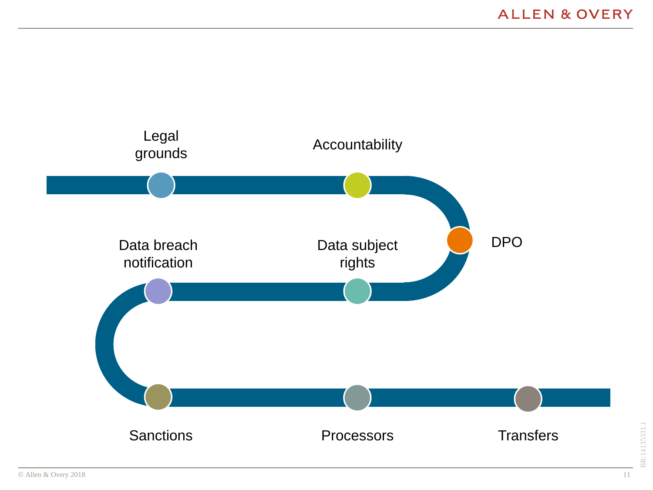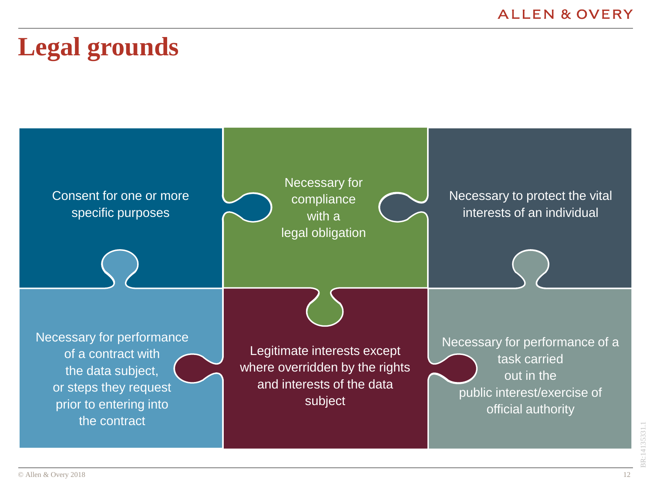### **Legal grounds**

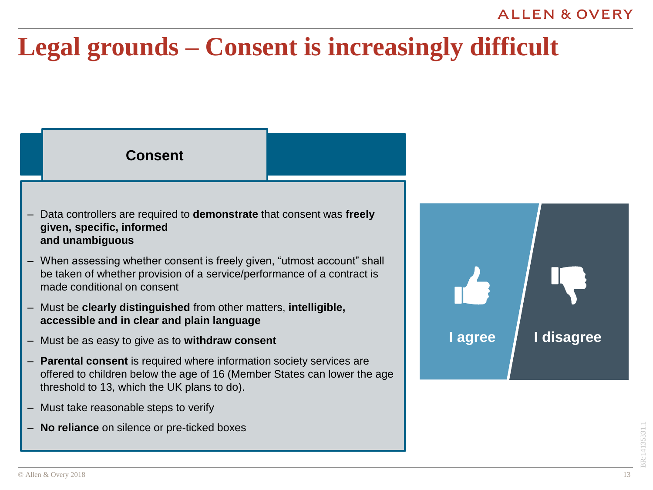#### **ALLEN & OVERY**

## **Legal grounds – Consent is increasingly difficult**

#### **Consent**

- Data controllers are required to **demonstrate** that consent was **freely given, specific, informed and unambiguous**
- When assessing whether consent is freely given, "utmost account" shall be taken of whether provision of a service/performance of a contract is made conditional on consent
- Must be **clearly distinguished** from other matters, **intelligible, accessible and in clear and plain language**
- Must be as easy to give as to **withdraw consent**
- **Parental consent** is required where information society services are offered to children below the age of 16 (Member States can lower the age threshold to 13, which the UK plans to do).
- Must take reasonable steps to verify
- **No reliance** on silence or pre-ticked boxes

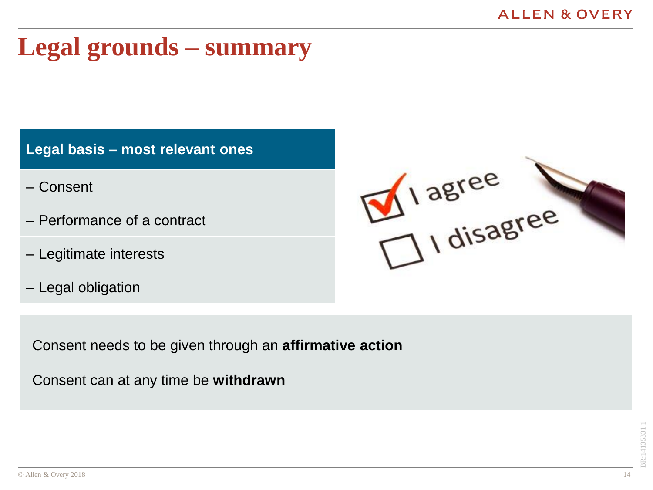#### **Legal grounds – summary**

**Legal basis – most relevant ones**

- Consent
- Performance of a contract
- Legitimate interests
- Legal obligation



Consent needs to be given through an **affirmative action**

Consent can at any time be **withdrawn**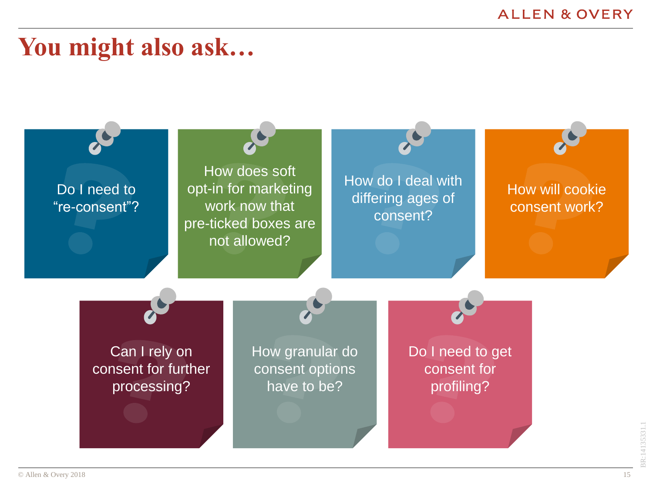#### **ALLEN & OVERY**

#### **You might also ask…**

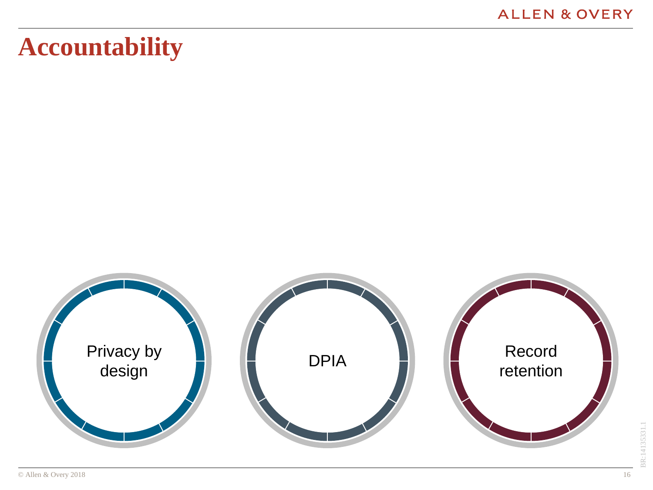## **Accountability**

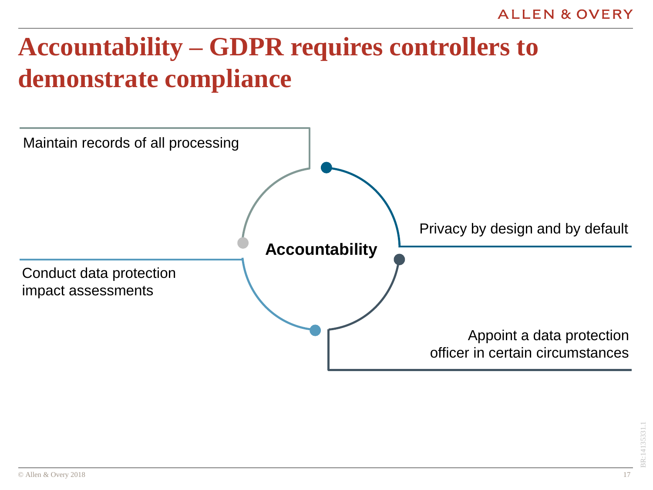# **Accountability – GDPR requires controllers to demonstrate compliance**

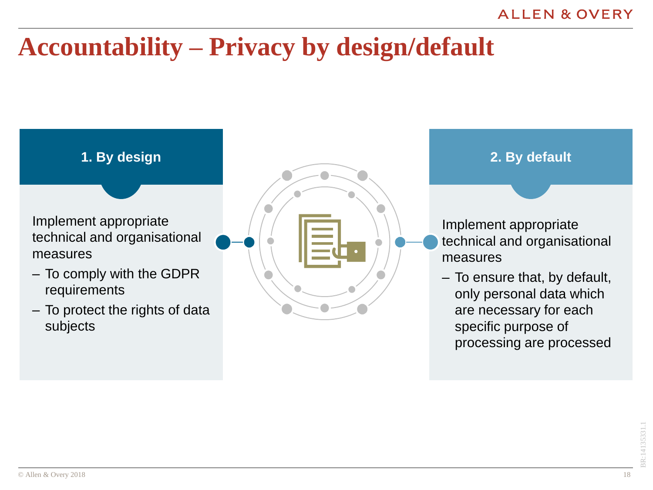## **Accountability – Privacy by design/default**

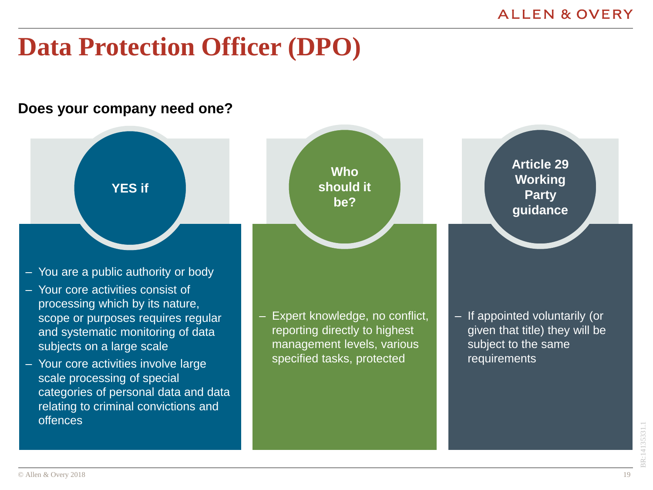### **Data Protection Officer (DPO)**

#### **Does your company need one?**

**YES if**

- You are a public authority or body
- Your core activities consist of processing which by its nature, scope or purposes requires regular and systematic monitoring of data subjects on a large scale
- Your core activities involve large scale processing of special categories of personal data and data relating to criminal convictions and offences

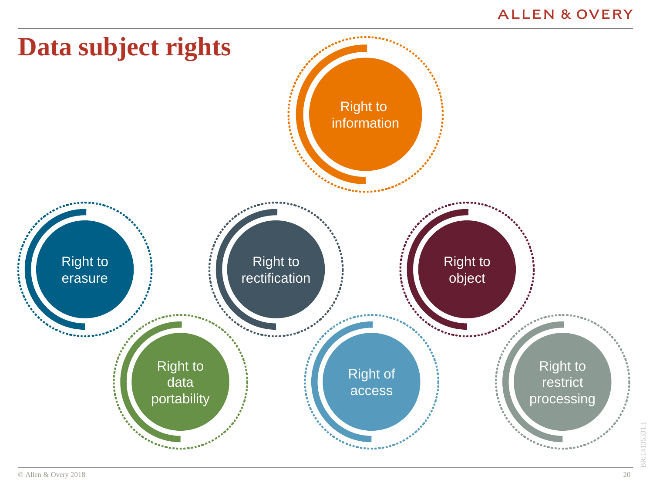#### **ALLEN & OVERY**

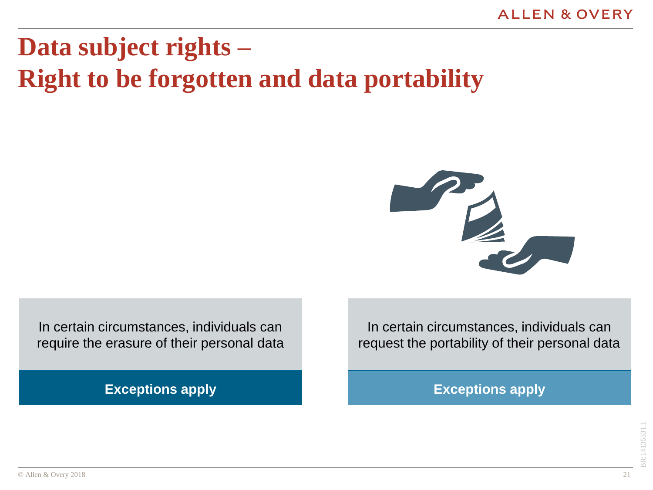# **Data subject rights – Right to be forgotten and data portability**



In certain circumstances, individuals can require the erasure of their personal data

**Exceptions apply**

In certain circumstances, individuals can request the portability of their personal data

**Exceptions apply**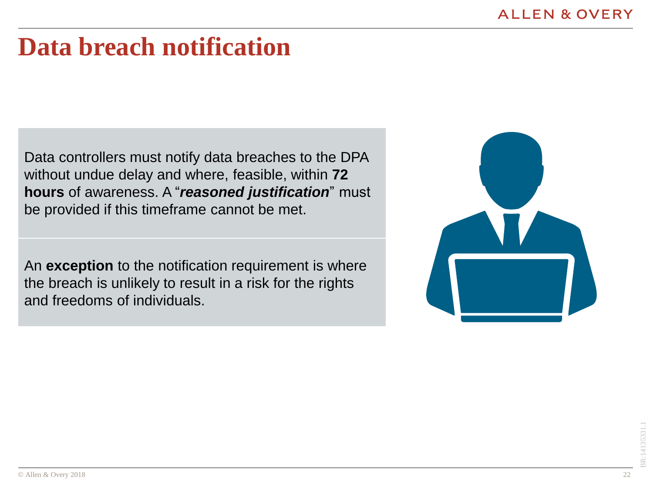#### **Data breach notification**

Data controllers must notify data breaches to the DPA without undue delay and where, feasible, within **72 hours** of awareness. A "*reasoned justification*" must be provided if this timeframe cannot be met.

An **exception** to the notification requirement is where the breach is unlikely to result in a risk for the rights and freedoms of individuals.

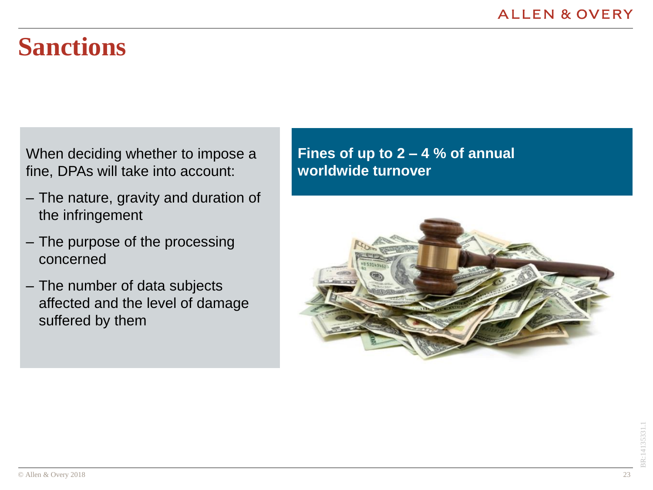#### **Sanctions**

When deciding whether to impose a fine, DPAs will take into account:

- The nature, gravity and duration of the infringement
- The purpose of the processing concerned
- The number of data subjects affected and the level of damage suffered by them

**Fines of up to 2 – 4 % of annual worldwide turnover**

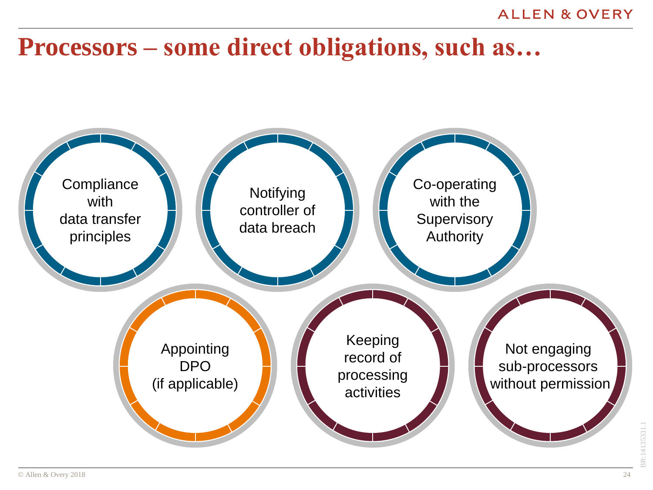#### **ALLEN & OVERY**

#### **Processors – some direct obligations, such as…**

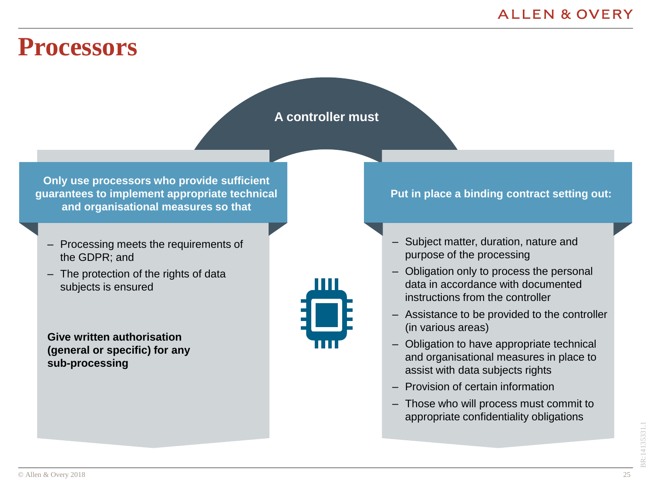#### **Processors**

#### **A controller must**

**Only use processors who provide sufficient guarantees to implement appropriate technical and organisational measures so that**

- Processing meets the requirements of the GDPR; and
- The protection of the rights of data subjects is ensured

**Give written authorisation (general or specific) for any sub-processing**



#### **Put in place a binding contract setting out:**

- Subject matter, duration, nature and purpose of the processing
- Obligation only to process the personal data in accordance with documented instructions from the controller
- Assistance to be provided to the controller (in various areas)
- Obligation to have appropriate technical and organisational measures in place to assist with data subjects rights
- Provision of certain information
- Those who will process must commit to appropriate confidentiality obligations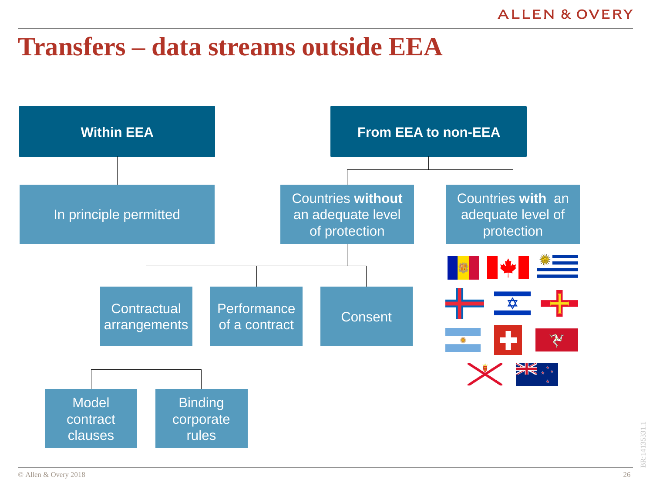#### **Transfers – data streams outside EEA**

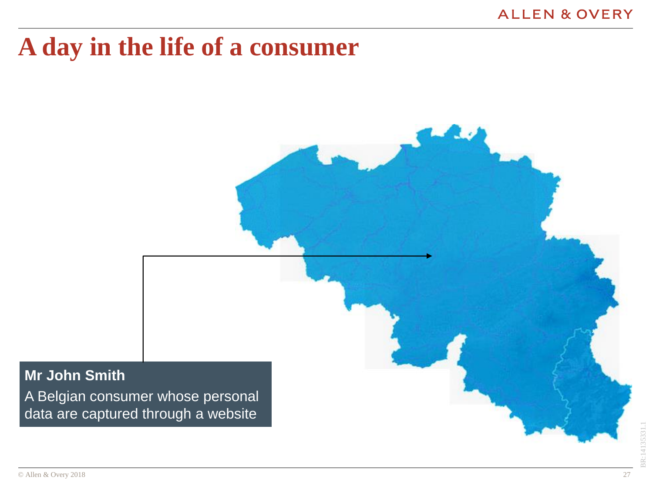### **A day in the life of a consumer**

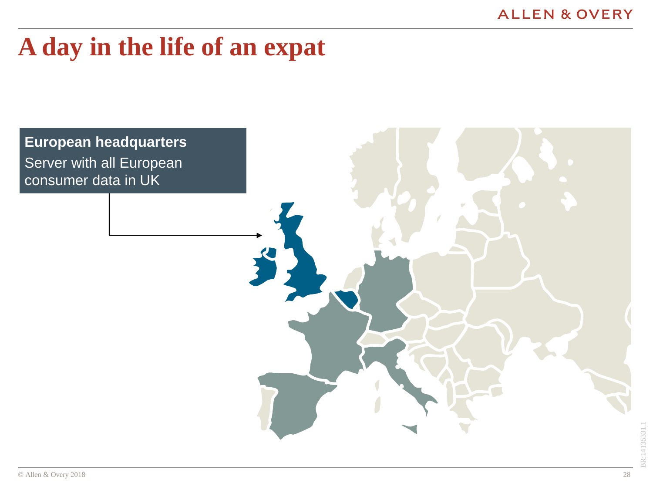### **A day in the life of an expat**

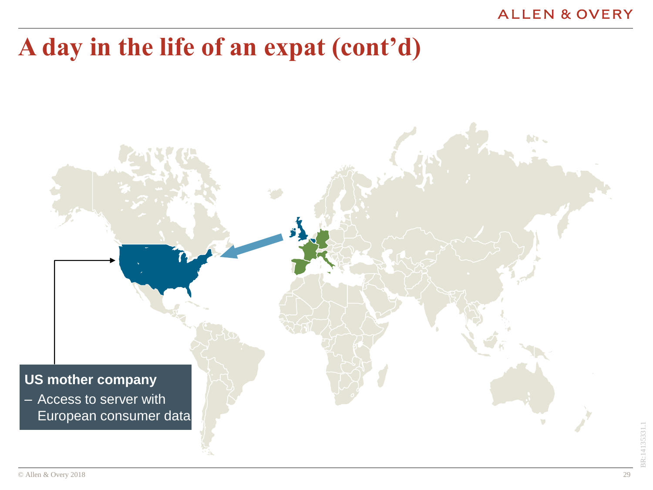#### **ALLEN & OVERY**

### **A day in the life of an expat (cont'd)**

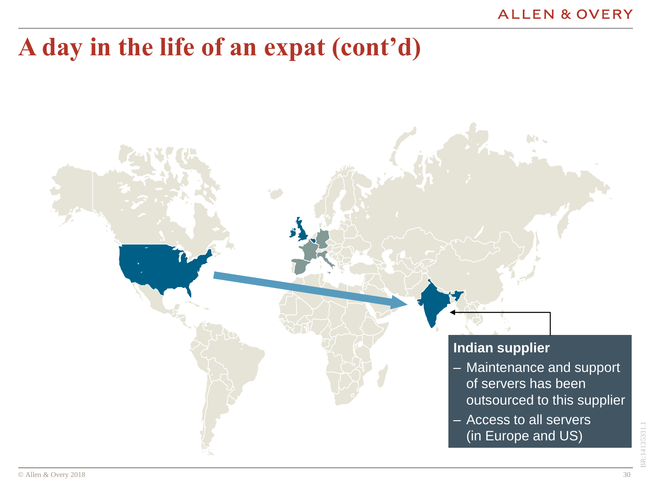### **A day in the life of an expat (cont'd)**



- Maintenance and support of servers has been outsourced to this supplier
- Access to all servers (in Europe and US)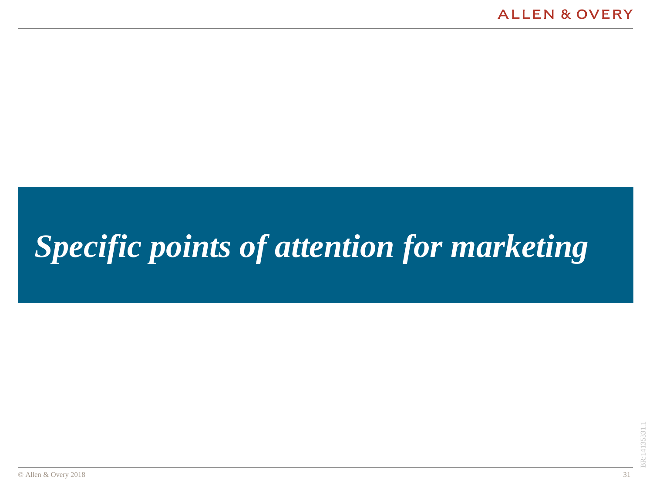# *Specific points of attention for marketing*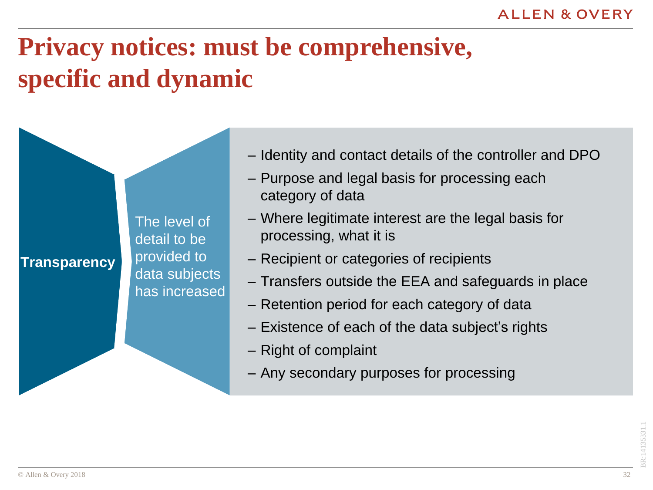## **Privacy notices: must be comprehensive, specific and dynamic**

The level of detail to be provided to data subjects has increased

- Identity and contact details of the controller and DPO
- Purpose and legal basis for processing each category of data
- Where legitimate interest are the legal basis for processing, what it is
- Recipient or categories of recipients
- Transfers outside the EEA and safeguards in place
- Retention period for each category of data
- Existence of each of the data subject's rights
- Right of complaint
- Any secondary purposes for processing

**Transparency**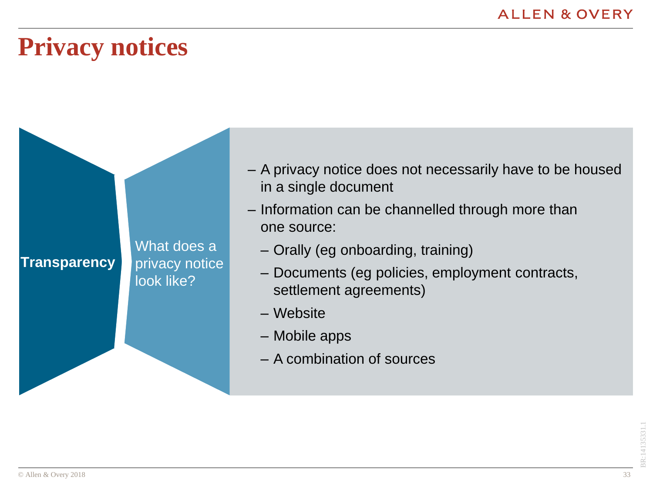#### **Privacy notices**

**Transparency** What does a privacy notice look like?

- A privacy notice does not necessarily have to be housed in a single document
- Information can be channelled through more than one source:
	- Orally (eg onboarding, training)
	- Documents (eg policies, employment contracts, settlement agreements)
	- Website
	- Mobile apps
	- A combination of sources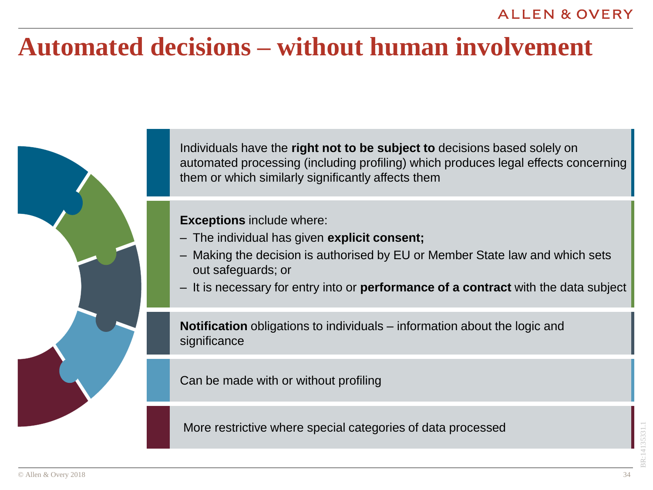### **Automated decisions – without human involvement**

Individuals have the **right not to be subject to** decisions based solely on automated processing (including profiling) which produces legal effects concerning them or which similarly significantly affects them

**Exceptions** include where:

- The individual has given **explicit consent;**
- Making the decision is authorised by EU or Member State law and which sets out safeguards; or
- It is necessary for entry into or **performance of a contract** with the data subject

**Notification** obligations to individuals – information about the logic and significance

Can be made with or without profiling

More restrictive where special categories of data processed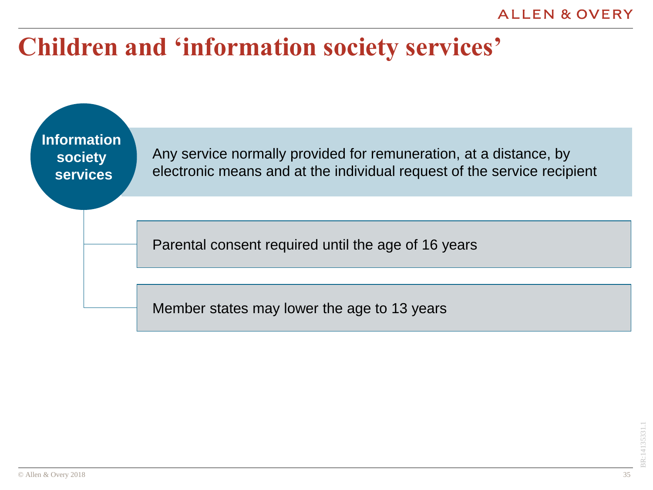### **Children and 'information society services'**

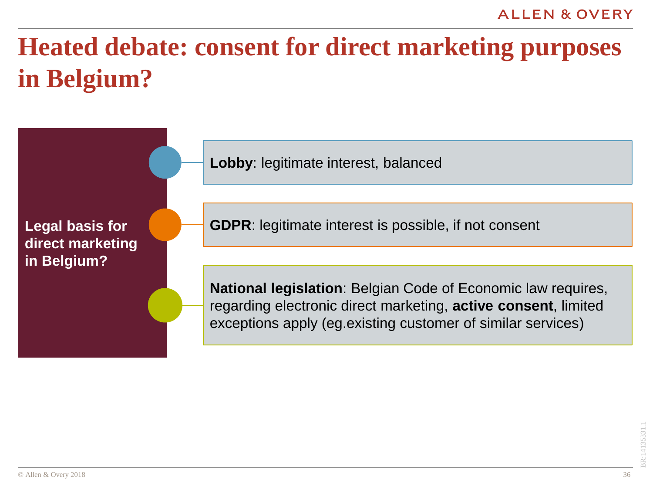# **Heated debate: consent for direct marketing purposes in Belgium?**

**Legal basis for direct marketing in Belgium?**

**Lobby**: legitimate interest, balanced

**GDPR**: legitimate interest is possible, if not consent

**National legislation**: Belgian Code of Economic law requires, regarding electronic direct marketing, **active consent**, limited exceptions apply (eg.existing customer of similar services)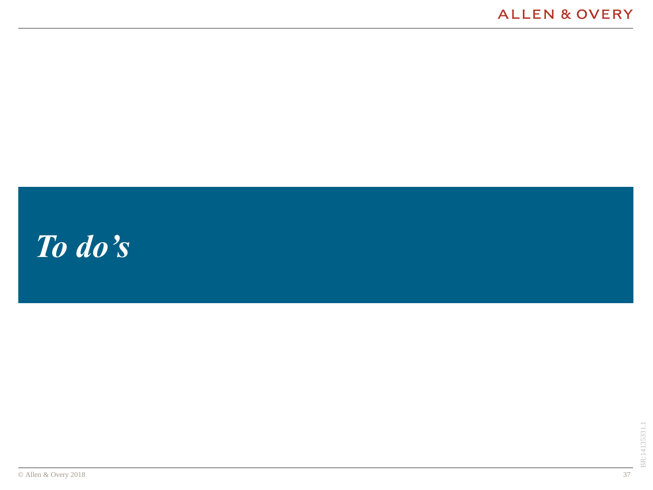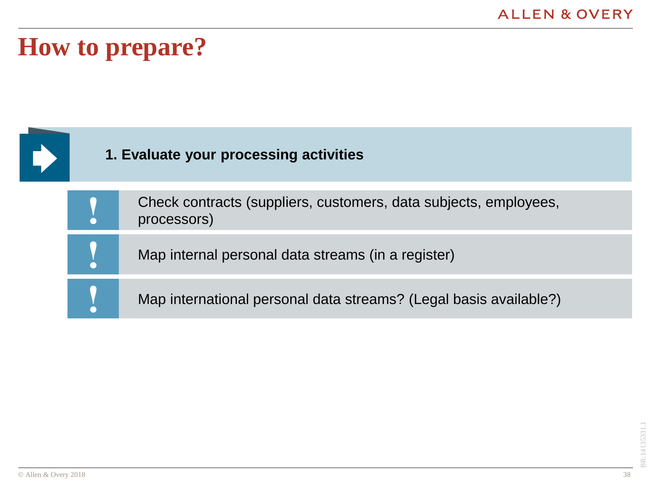### **How to prepare?**

| 1. Evaluate your processing activities |                                                                                 |
|----------------------------------------|---------------------------------------------------------------------------------|
|                                        | Check contracts (suppliers, customers, data subjects, employees,<br>processors) |
|                                        | Map internal personal data streams (in a register)                              |
|                                        | Map international personal data streams? (Legal basis available?)               |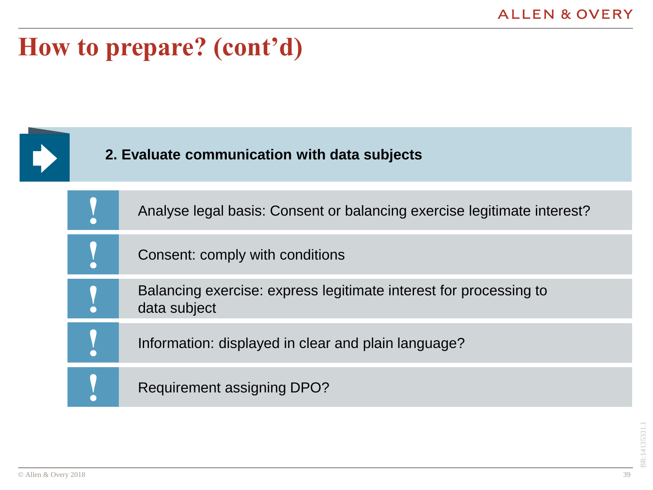### **How to prepare? (cont'd)**

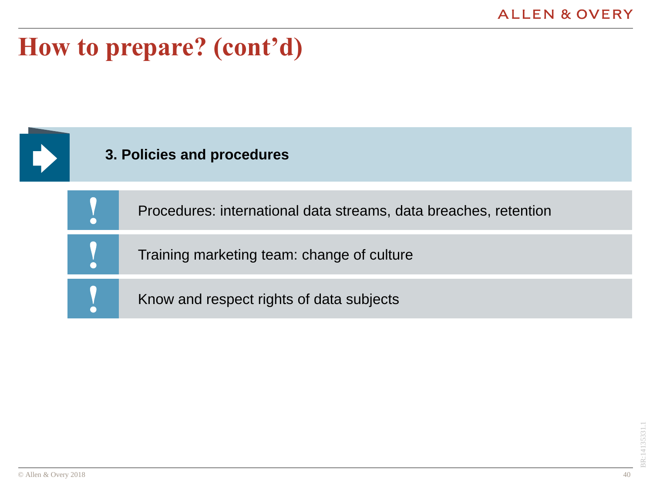### **How to prepare? (cont'd)**